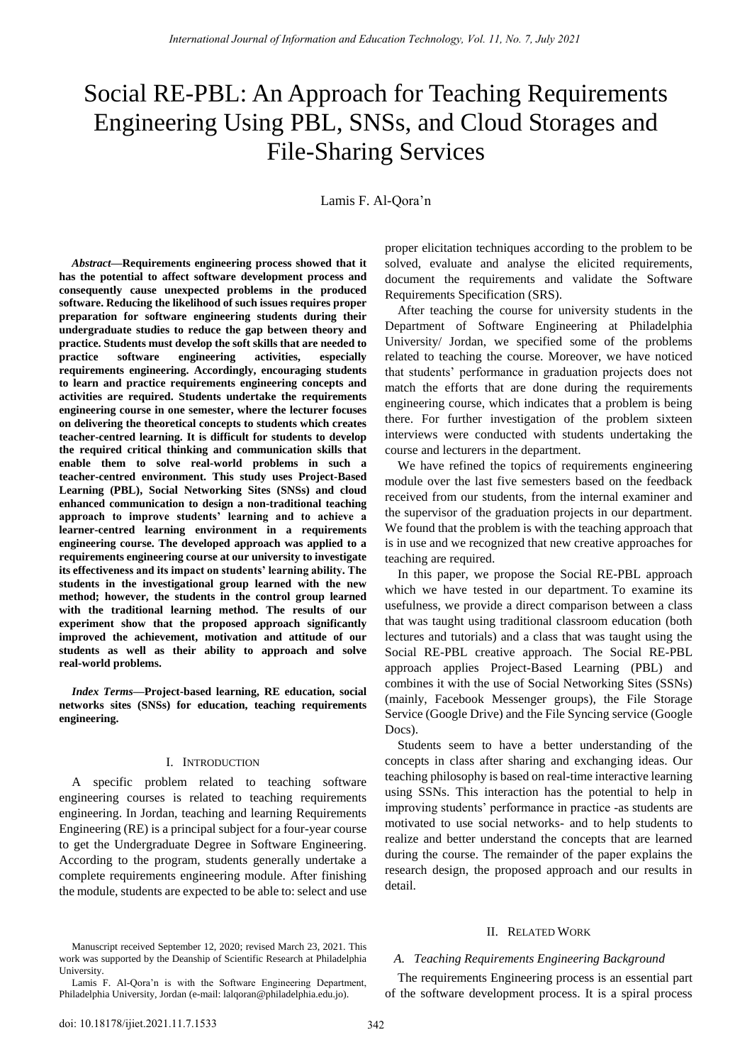# Social RE-PBL: An Approach for Teaching Requirements Engineering Using PBL, SNSs, and Cloud Storages and File-Sharing Services

Lamis F. Al-Qora'n

*Abstract***—Requirements engineering process showed that it has the potential to affect software development process and consequently cause unexpected problems in the produced software. Reducing the likelihood of such issues requires proper preparation for software engineering students during their undergraduate studies to reduce the gap between theory and practice. Students must develop the soft skills that are needed to practice software engineering activities, especially requirements engineering. Accordingly, encouraging students to learn and practice requirements engineering concepts and activities are required. Students undertake the requirements engineering course in one semester, where the lecturer focuses on delivering the theoretical concepts to students which creates teacher-centred learning. It is difficult for students to develop the required critical thinking and communication skills that enable them to solve real-world problems in such a teacher-centred environment. This study uses Project-Based Learning (PBL), Social Networking Sites (SNSs) and cloud enhanced communication to design a non-traditional teaching approach to improve students' learning and to achieve a learner-centred learning environment in a requirements engineering course. The developed approach was applied to a requirements engineering course at our university to investigate its effectiveness and its impact on students' learning ability. The students in the investigational group learned with the new method; however, the students in the control group learned with the traditional learning method. The results of our experiment show that the proposed approach significantly improved the achievement, motivation and attitude of our students as well as their ability to approach and solve real-world problems.**

*Index Terms***—Project-based learning, RE education, social networks sites (SNSs) for education, teaching requirements engineering.**

#### I. INTRODUCTION

A specific problem related to teaching software engineering courses is related to teaching requirements engineering. In Jordan, teaching and learning Requirements Engineering (RE) is a principal subject for a four-year course to get the Undergraduate Degree in Software Engineering. According to the program, students generally undertake a complete requirements engineering module. After finishing the module, students are expected to be able to: select and use

Manuscript received September 12, 2020; revised March 23, 2021. This work was supported by the Deanship of Scientific Research at Philadelphia University.

Lamis F. Al-Qora"n is with the Software Engineering Department, Philadelphia University, Jordan (e-mail: lalqoran@philadelphia.edu.jo).

proper elicitation techniques according to the problem to be solved, evaluate and analyse the elicited requirements, document the requirements and validate the Software Requirements Specification (SRS).

After teaching the course for university students in the Department of Software Engineering at Philadelphia University/ Jordan, we specified some of the problems related to teaching the course. Moreover, we have noticed that students" performance in graduation projects does not match the efforts that are done during the requirements engineering course, which indicates that a problem is being there. For further investigation of the problem sixteen interviews were conducted with students undertaking the course and lecturers in the department.

We have refined the topics of requirements engineering module over the last five semesters based on the feedback received from our students, from the internal examiner and the supervisor of the graduation projects in our department. We found that the problem is with the teaching approach that is in use and we recognized that new creative approaches for teaching are required.

In this paper, we propose the Social RE-PBL approach which we have tested in our department. To examine its usefulness, we provide a direct comparison between a class that was taught using traditional classroom education (both lectures and tutorials) and a class that was taught using the Social RE-PBL creative approach. The Social RE-PBL approach applies Project-Based Learning (PBL) and combines it with the use of Social Networking Sites (SSNs) (mainly, Facebook Messenger groups), the File Storage Service (Google Drive) and the File Syncing service (Google Docs).

Students seem to have a better understanding of the concepts in class after sharing and exchanging ideas. Our teaching philosophy is based on real-time interactive learning using SSNs. This interaction has the potential to help in improving students' performance in practice -as students are motivated to use social networks- and to help students to realize and better understand the concepts that are learned during the course. The remainder of the paper explains the research design, the proposed approach and our results in detail.

#### II. RELATED WORK

#### *A. Teaching Requirements Engineering Background*

The requirements Engineering process is an essential part of the software development process. It is a spiral process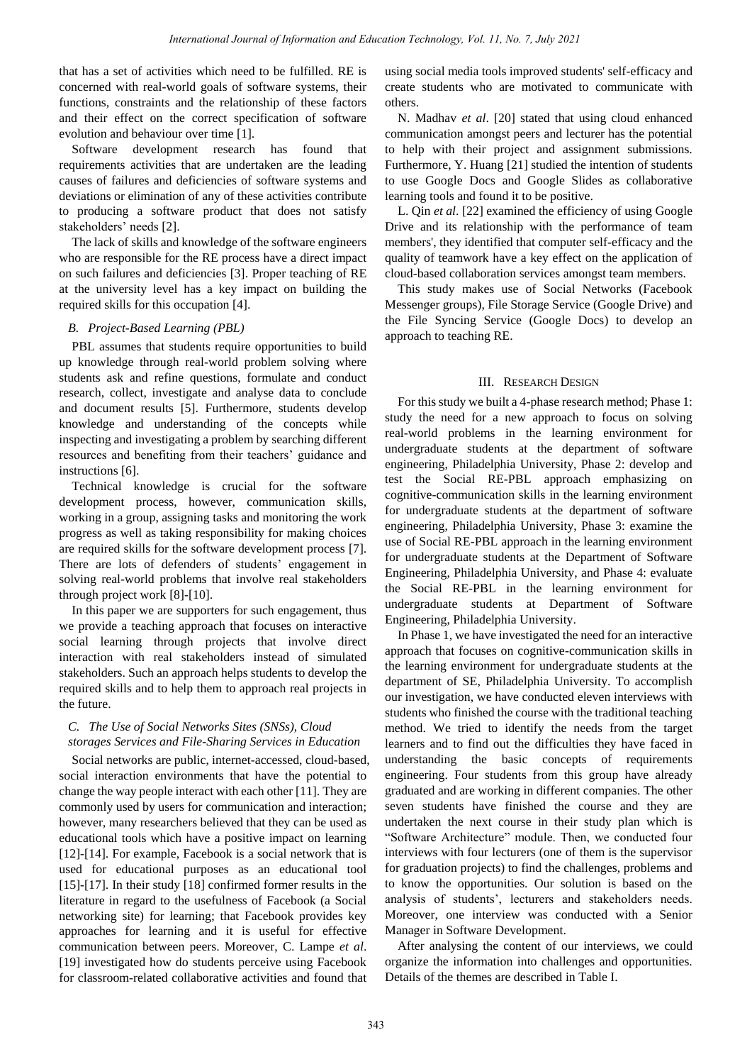that has a set of activities which need to be fulfilled. RE is concerned with real-world goals of software systems, their functions, constraints and the relationship of these factors and their effect on the correct specification of software evolution and behaviour over time [1].

Software development research has found that requirements activities that are undertaken are the leading causes of failures and deficiencies of software systems and deviations or elimination of any of these activities contribute to producing a software product that does not satisfy stakeholders' needs [2].

The lack of skills and knowledge of the software engineers who are responsible for the RE process have a direct impact on such failures and deficiencies [3]. Proper teaching of RE at the university level has a key impact on building the required skills for this occupation [4].

# *B. Project-Based Learning (PBL)*

PBL assumes that students require opportunities to build up knowledge through real-world problem solving where students ask and refine questions, formulate and conduct research, collect, investigate and analyse data to conclude and document results [5]. Furthermore, students develop knowledge and understanding of the concepts while inspecting and investigating a problem by searching different resources and benefiting from their teachers' guidance and instructions [6].

Technical knowledge is crucial for the software development process, however, communication skills, working in a group, assigning tasks and monitoring the work progress as well as taking responsibility for making choices are required skills for the software development process [7]. There are lots of defenders of students' engagement in solving real-world problems that involve real stakeholders through project work [8]-[10].

In this paper we are supporters for such engagement, thus we provide a teaching approach that focuses on interactive social learning through projects that involve direct interaction with real stakeholders instead of simulated stakeholders. Such an approach helps students to develop the required skills and to help them to approach real projects in the future.

# *C. The Use of Social Networks Sites (SNSs), Cloud storages Services and File-Sharing Services in Education*

Social networks are public, internet-accessed, cloud-based, social interaction environments that have the potential to change the way people interact with each other [11]. They are commonly used by users for communication and interaction; however, many researchers believed that they can be used as educational tools which have a positive impact on learning [12]-[14]. For example, Facebook is a social network that is used for educational purposes as an educational tool [15]-[17]. In their study [18] confirmed former results in the literature in regard to the usefulness of Facebook (a Social networking site) for learning; that Facebook provides key approaches for learning and it is useful for effective communication between peers. Moreover, C. Lampe *et al*. [19] investigated how do students perceive using Facebook for classroom-related collaborative activities and found that

using social media tools improved students' self-efficacy and create students who are motivated to communicate with others.

N. Madhav *et al*. [20] stated that using cloud enhanced communication amongst peers and lecturer has the potential to help with their project and assignment submissions. Furthermore, Y. Huang [21] studied the intention of students to use Google Docs and Google Slides as collaborative learning tools and found it to be positive.

L. Qin *et al*. [22] examined the efficiency of using Google Drive and its relationship with the performance of team members', they identified that computer self-efficacy and the quality of teamwork have a key effect on the application of cloud-based collaboration services amongst team members.

This study makes use of Social Networks (Facebook Messenger groups), File Storage Service (Google Drive) and the File Syncing Service (Google Docs) to develop an approach to teaching RE.

# III. RESEARCH DESIGN

For this study we built a 4-phase research method; Phase 1: study the need for a new approach to focus on solving real-world problems in the learning environment for undergraduate students at the department of software engineering, Philadelphia University, Phase 2: develop and test the Social RE-PBL approach emphasizing on cognitive-communication skills in the learning environment for undergraduate students at the department of software engineering, Philadelphia University, Phase 3: examine the use of Social RE-PBL approach in the learning environment for undergraduate students at the Department of Software Engineering, Philadelphia University, and Phase 4: evaluate the Social RE-PBL in the learning environment for undergraduate students at Department of Software Engineering, Philadelphia University.

In Phase 1, we have investigated the need for an interactive approach that focuses on cognitive-communication skills in the learning environment for undergraduate students at the department of SE, Philadelphia University. To accomplish our investigation, we have conducted eleven interviews with students who finished the course with the traditional teaching method. We tried to identify the needs from the target learners and to find out the difficulties they have faced in understanding the basic concepts of requirements engineering. Four students from this group have already graduated and are working in different companies. The other seven students have finished the course and they are undertaken the next course in their study plan which is "Software Architecture" module. Then, we conducted four interviews with four lecturers (one of them is the supervisor for graduation projects) to find the challenges, problems and to know the opportunities. Our solution is based on the analysis of students', lecturers and stakeholders needs. Moreover, one interview was conducted with a Senior Manager in Software Development.

After analysing the content of our interviews, we could organize the information into challenges and opportunities. Details of the themes are described in Table I.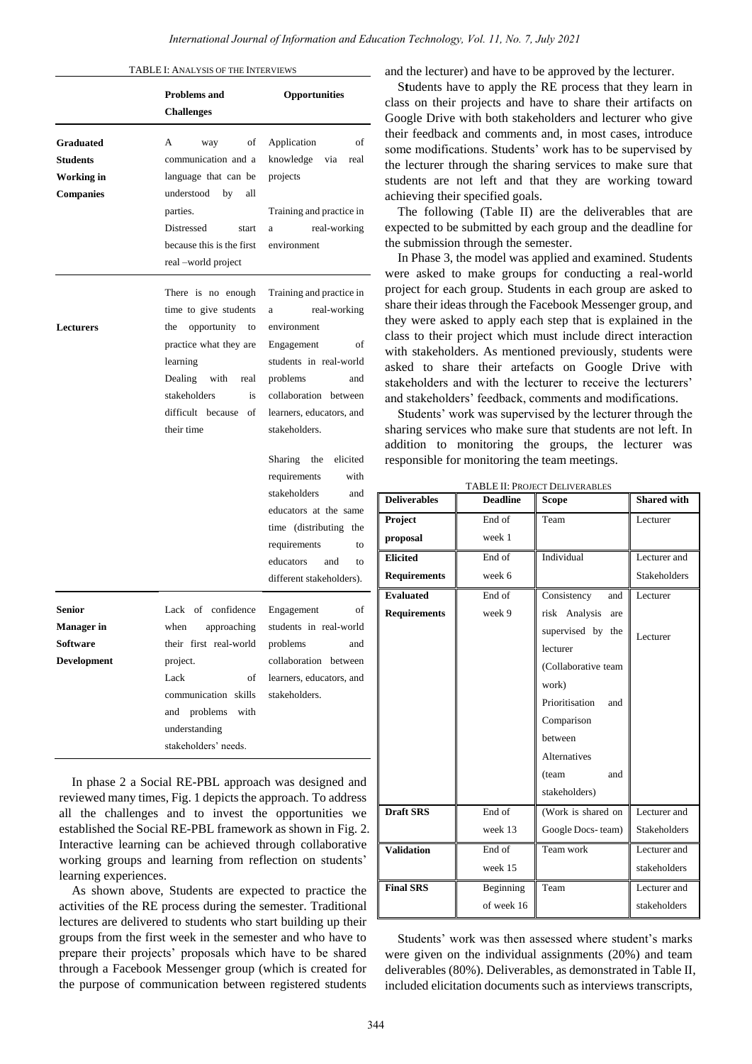|  |  |  | TABLE I: ANALYSIS OF THE INTERVIEWS |
|--|--|--|-------------------------------------|
|--|--|--|-------------------------------------|

|                                                                       | <b>Problems</b> and<br><b>Challenges</b>                                                                                                                                                       | Opportunities                                                                                                                                                                                         |  |
|-----------------------------------------------------------------------|------------------------------------------------------------------------------------------------------------------------------------------------------------------------------------------------|-------------------------------------------------------------------------------------------------------------------------------------------------------------------------------------------------------|--|
| <b>Graduated</b><br><b>Students</b><br>Working in<br><b>Companies</b> | of<br>A<br>way<br>communication and a<br>language that can be<br>understood<br>by<br>all<br>parties.<br>Distressed<br>start<br>because this is the first<br>real –world project                | Application<br>of<br>knowledge<br>via<br>real<br>projects<br>Training and practice in<br>real-working<br>a<br>environment                                                                             |  |
| <b>Lecturers</b>                                                      | There is no enough<br>time to give students<br>opportunity to<br>the<br>practice what they are<br>learning<br>Dealing with real<br>stakeholders<br>is<br>difficult because<br>οf<br>their time | Training and practice in<br>real-working<br>a<br>environment<br>Engagement<br>οf<br>students in real-world<br>problems<br>and<br>collaboration between<br>learners, educators, and<br>stakeholders.   |  |
|                                                                       |                                                                                                                                                                                                | Sharing the<br>elicited<br>requirements<br>with<br>stakeholders<br>and<br>educators at the same<br>time (distributing the<br>requirements<br>to<br>educators<br>and<br>to<br>different stakeholders). |  |
| <b>Senior</b><br><b>Manager</b> in<br><b>Software</b><br>Development  | Lack of confidence<br>approaching<br>when<br>their first real-world<br>project.<br>Lack<br>of<br>communication<br>skills<br>with<br>problems<br>and<br>understanding<br>stakeholders' needs.   | Engagement<br>of<br>students in real-world<br>problems<br>and<br>collaboration between<br>learners, educators, and<br>stakeholders.                                                                   |  |

In phase 2 a Social RE-PBL approach was designed and reviewed many times, Fig. 1 depicts the approach. To address all the challenges and to invest the opportunities we established the Social RE-PBL framework as shown in Fig. 2. Interactive learning can be achieved through collaborative working groups and learning from reflection on students' learning experiences.

As shown above, Students are expected to practice the activities of the RE process during the semester. Traditional lectures are delivered to students who start building up their groups from the first week in the semester and who have to prepare their projects" proposals which have to be shared through a Facebook Messenger group (which is created for the purpose of communication between registered students and the lecturer) and have to be approved by the lecturer.

S**t**udents have to apply the RE process that they learn in class on their projects and have to share their artifacts on Google Drive with both stakeholders and lecturer who give their feedback and comments and, in most cases, introduce some modifications. Students' work has to be supervised by the lecturer through the sharing services to make sure that students are not left and that they are working toward achieving their specified goals.

The following (Table II) are the deliverables that are expected to be submitted by each group and the deadline for the submission through the semester.

In Phase 3, the model was applied and examined. Students were asked to make groups for conducting a real-world project for each group. Students in each group are asked to share their ideas through the Facebook Messenger group, and they were asked to apply each step that is explained in the class to their project which must include direct interaction with stakeholders. As mentioned previously, students were asked to share their artefacts on Google Drive with stakeholders and with the lecturer to receive the lecturers" and stakeholders" feedback, comments and modifications.

Students' work was supervised by the lecturer through the sharing services who make sure that students are not left. In addition to monitoring the groups, the lecturer was responsible for monitoring the team meetings.

| <b>TABLE II: PROJECT DELIVERABLES</b> |                 |                       |                     |  |  |  |
|---------------------------------------|-----------------|-----------------------|---------------------|--|--|--|
| <b>Deliverables</b>                   | <b>Deadline</b> | Scope                 | <b>Shared with</b>  |  |  |  |
| Project                               | End of          | Team                  | Lecturer            |  |  |  |
| proposal                              | week 1          |                       |                     |  |  |  |
| <b>Elicited</b>                       | End of          | Individual            | Lecturer and        |  |  |  |
| <b>Requirements</b>                   | week 6          |                       | <b>Stakeholders</b> |  |  |  |
| <b>Evaluated</b>                      | End of          | Consistency<br>and    | Lecturer            |  |  |  |
| <b>Requirements</b>                   | week 9          | risk Analysis<br>are  |                     |  |  |  |
|                                       |                 | supervised by<br>the  | Lecturer            |  |  |  |
|                                       |                 | lecturer              |                     |  |  |  |
|                                       |                 | (Collaborative team   |                     |  |  |  |
|                                       |                 | work)                 |                     |  |  |  |
|                                       |                 | Prioritisation<br>and |                     |  |  |  |
|                                       |                 | Comparison            |                     |  |  |  |
|                                       |                 | between               |                     |  |  |  |
|                                       |                 | <b>Alternatives</b>   |                     |  |  |  |
|                                       |                 | (team<br>and          |                     |  |  |  |
|                                       |                 | stakeholders)         |                     |  |  |  |
| <b>Draft SRS</b>                      | End of          | (Work is shared on    | Lecturer and        |  |  |  |
|                                       | week 13         | Google Docs-team)     | <b>Stakeholders</b> |  |  |  |
| <b>Validation</b>                     | End of          | Team work             | Lecturer and        |  |  |  |
|                                       | week 15         |                       | stakeholders        |  |  |  |
| <b>Final SRS</b>                      | Beginning       | Team                  | Lecturer and        |  |  |  |
|                                       | of week 16      |                       | stakeholders        |  |  |  |

Students' work was then assessed where student's marks were given on the individual assignments (20%) and team deliverables (80%). Deliverables, as demonstrated in Table II, included elicitation documents such as interviews transcripts,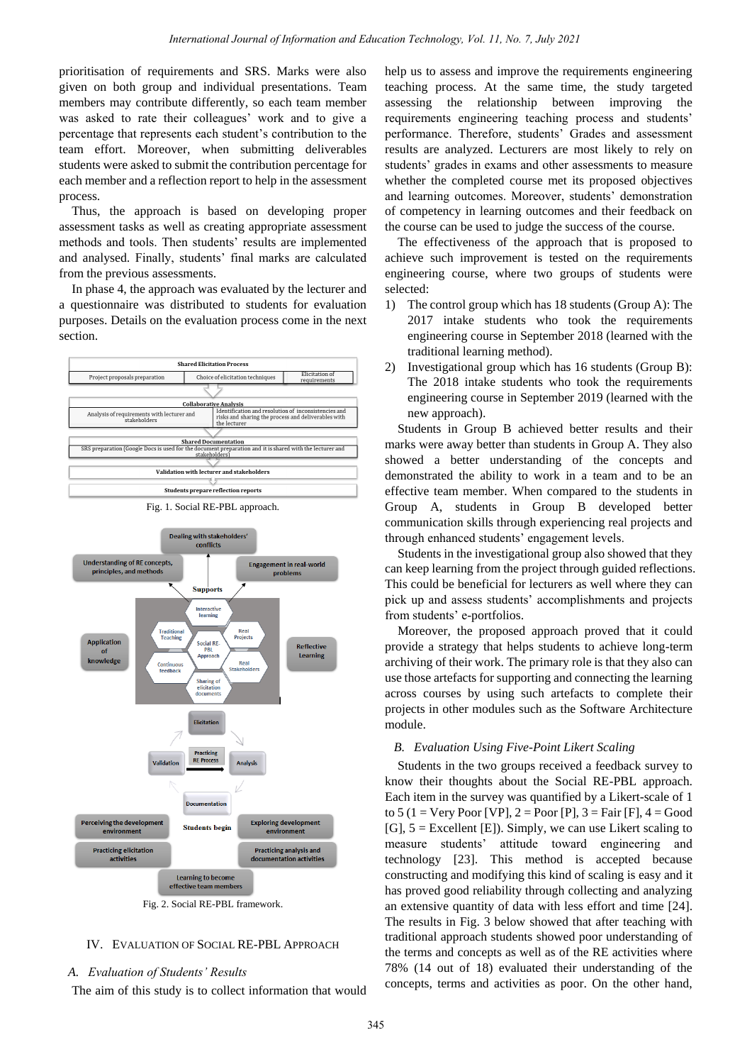prioritisation of requirements and SRS. Marks were also given on both group and individual presentations. Team members may contribute differently, so each team member was asked to rate their colleagues' work and to give a percentage that represents each student"s contribution to the team effort. Moreover, when submitting deliverables students were asked to submit the contribution percentage for each member and a reflection report to help in the assessment process.

Thus, the approach is based on developing proper assessment tasks as well as creating appropriate assessment methods and tools. Then students' results are implemented and analysed. Finally, students" final marks are calculated from the previous assessments.

In phase 4, the approach was evaluated by the lecturer and a questionnaire was distributed to students for evaluation purposes. Details on the evaluation process come in the next section.



Fig. 1. Social RE-PBL approach.



# IV. EVALUATION OF SOCIAL RE-PBL APPROACH

#### *A. Evaluation of Students' Results*

The aim of this study is to collect information that would

help us to assess and improve the requirements engineering teaching process. At the same time, the study targeted assessing the relationship between improving the requirements engineering teaching process and students' performance. Therefore, students' Grades and assessment results are analyzed. Lecturers are most likely to rely on students' grades in exams and other assessments to measure whether the completed course met its proposed objectives and learning outcomes. Moreover, students' demonstration of competency in learning outcomes and their feedback on the course can be used to judge the success of the course.

The effectiveness of the approach that is proposed to achieve such improvement is tested on the requirements engineering course, where two groups of students were selected:

- 1) The control group which has 18 students (Group A): The 2017 intake students who took the requirements engineering course in September 2018 (learned with the traditional learning method).
- 2) Investigational group which has 16 students (Group B): The 2018 intake students who took the requirements engineering course in September 2019 (learned with the new approach).

Students in Group B achieved better results and their marks were away better than students in Group A. They also showed a better understanding of the concepts and demonstrated the ability to work in a team and to be an effective team member. When compared to the students in Group A, students in Group B developed better communication skills through experiencing real projects and through enhanced students' engagement levels.

Students in the investigational group also showed that they can keep learning from the project through guided reflections. This could be beneficial for lecturers as well where they can pick up and assess students" accomplishments and projects from students' e-portfolios.

Moreover, the proposed approach proved that it could provide a strategy that helps students to achieve long-term archiving of their work. The primary role is that they also can use those artefacts for supporting and connecting the learning across courses by using such artefacts to complete their projects in other modules such as the Software Architecture module.

#### *B. Evaluation Using Five-Point Likert Scaling*

Students in the two groups received a feedback survey to know their thoughts about the Social RE-PBL approach. Each item in the survey was quantified by a Likert-scale of 1 to  $5$  (1 = Very Poor [VP], 2 = Poor [P], 3 = Fair [F], 4 = Good [G], 5 = Excellent [E]). Simply, we can use Likert scaling to measure students" attitude toward engineering and technology [23]. This method is accepted because constructing and modifying this kind of scaling is easy and it has proved good reliability through collecting and analyzing an extensive quantity of data with less effort and time [24]. The results in Fig. 3 below showed that after teaching with traditional approach students showed poor understanding of the terms and concepts as well as of the RE activities where 78% (14 out of 18) evaluated their understanding of the concepts, terms and activities as poor. On the other hand,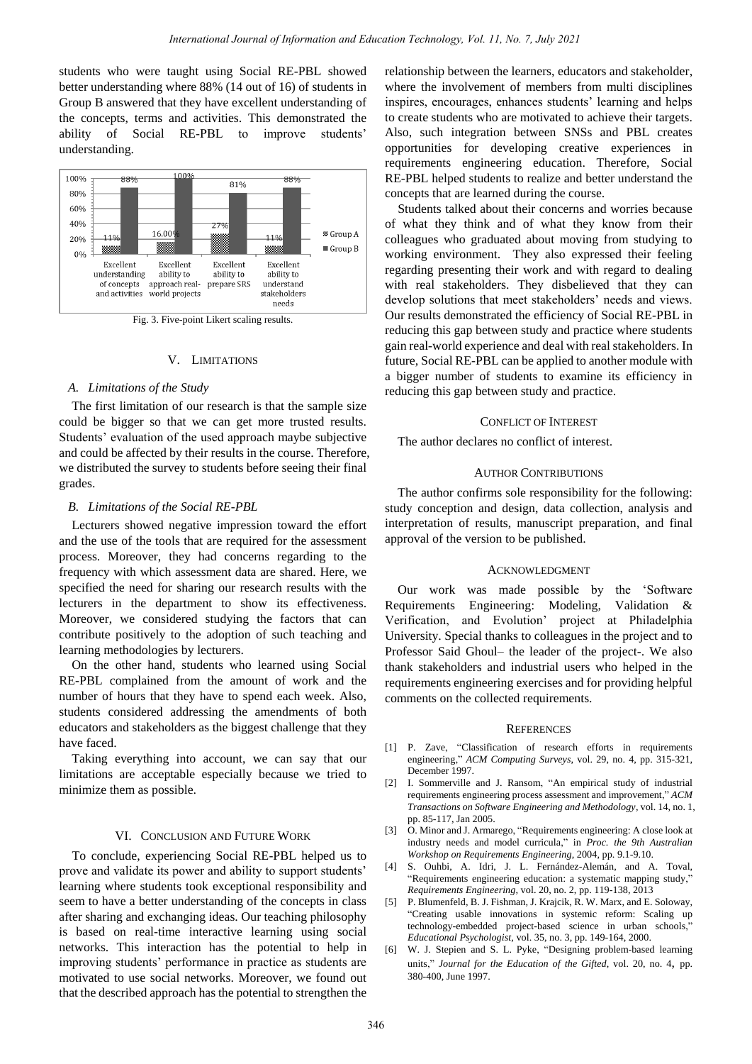students who were taught using Social RE-PBL showed better understanding where 88% (14 out of 16) of students in Group B answered that they have excellent understanding of the concepts, terms and activities. This demonstrated the ability of Social RE-PBL to improve students' understanding.



Fig. 3. Five-point Likert scaling results.

#### V. LIMITATIONS

#### *A. Limitations of the Study*

The first limitation of our research is that the sample size could be bigger so that we can get more trusted results. Students' evaluation of the used approach maybe subjective and could be affected by their results in the course. Therefore, we distributed the survey to students before seeing their final grades.

#### *B. Limitations of the Social RE-PBL*

Lecturers showed negative impression toward the effort and the use of the tools that are required for the assessment process. Moreover, they had concerns regarding to the frequency with which assessment data are shared. Here, we specified the need for sharing our research results with the lecturers in the department to show its effectiveness. Moreover, we considered studying the factors that can contribute positively to the adoption of such teaching and learning methodologies by lecturers.

On the other hand, students who learned using Social RE-PBL complained from the amount of work and the number of hours that they have to spend each week. Also, students considered addressing the amendments of both educators and stakeholders as the biggest challenge that they have faced.

Taking everything into account, we can say that our limitations are acceptable especially because we tried to minimize them as possible.

#### VI. CONCLUSION AND FUTURE WORK

To conclude, experiencing Social RE-PBL helped us to prove and validate its power and ability to support students' learning where students took exceptional responsibility and seem to have a better understanding of the concepts in class after sharing and exchanging ideas. Our teaching philosophy is based on real-time interactive learning using social networks. This interaction has the potential to help in improving students' performance in practice as students are motivated to use social networks. Moreover, we found out that the described approach has the potential to strengthen the relationship between the learners, educators and stakeholder, where the involvement of members from multi disciplines inspires, encourages, enhances students' learning and helps to create students who are motivated to achieve their targets. Also, such integration between SNSs and PBL creates opportunities for developing creative experiences in requirements engineering education. Therefore, Social RE-PBL helped students to realize and better understand the concepts that are learned during the course.

Students talked about their concerns and worries because of what they think and of what they know from their colleagues who graduated about moving from studying to working environment. They also expressed their feeling regarding presenting their work and with regard to dealing with real stakeholders. They disbelieved that they can develop solutions that meet stakeholders' needs and views. Our results demonstrated the efficiency of Social RE-PBL in reducing this gap between study and practice where students gain real-world experience and deal with real stakeholders. In future, Social RE-PBL can be applied to another module with a bigger number of students to examine its efficiency in reducing this gap between study and practice.

#### CONFLICT OF INTEREST

The author declares no conflict of interest.

#### AUTHOR CONTRIBUTIONS

The author confirms sole responsibility for the following: study conception and design, data collection, analysis and interpretation of results, manuscript preparation, and final approval of the version to be published.

#### ACKNOWLEDGMENT

Our work was made possible by the "Software Requirements Engineering: Modeling, Validation & Verification, and Evolution" project at Philadelphia University. Special thanks to colleagues in the project and to Professor Said Ghoul– the leader of the project-. We also thank stakeholders and industrial users who helped in the requirements engineering exercises and for providing helpful comments on the collected requirements.

#### **REFERENCES**

- [1] P. Zave, "Classification of research efforts in requirements engineering," *ACM Computing Surveys*, vol. 29, no. 4, pp. 315-321, December 1997.
- [2] I. Sommerville and J. Ransom, "An empirical study of industrial requirements engineering process assessment and improvement," *ACM Transactions on Software Engineering and Methodology*, vol. 14, no. 1, pp. 85-117, Jan 2005.
- [3] O. Minor and J. Armarego, "Requirements engineering: A close look at industry needs and model curricula," in *Proc. the 9th Australian Workshop on Requirements Engineering*, 2004, pp. 9.1-9.10.
- [4] S. Ouhbi, A. Idri, J. L. Fernández-Alemán, and A. Toval, "Requirements engineering education: a systematic mapping study," *Requirements Engineering*, vol. 20, no. 2, pp. 119-138, 2013
- [5] P. Blumenfeld, B. J. Fishman, J. Krajcik, R. W. Marx, and E. Soloway, "Creating usable innovations in systemic reform: Scaling up technology-embedded project-based science in urban schools," *Educational Psychologist*, vol. 35, no. 3, pp. 149-164, 2000.
- [6] W. J. Stepien and S. L. Pyke, "Designing problem-based learning units," *Journal for the Education of the Gifted*, vol. 20, no. 4, pp. 380-400, June 1997.